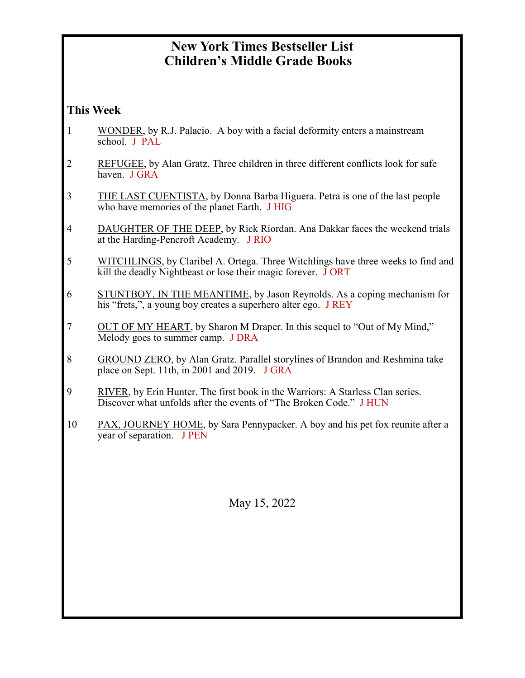# **New York Times Bestseller List Children's Middle Grade Books**

#### **This Week**

- 1 WONDER, by R.J. Palacio. A boy with a facial deformity enters a mainstream school. J PAL
- 2 REFUGEE, by Alan Gratz. Three children in three different conflicts look for safe haven. J GRA
- 3 THE LAST CUENTISTA, by Donna Barba Higuera. Petra is one of the last people who have memories of the planet Earth. J HIG
- 4 DAUGHTER OF THE DEEP, by Rick Riordan. Ana Dakkar faces the weekend trials at the Harding-Pencroft Academy. J RIO
- 5 WITCHLINGS, by Claribel A. Ortega. Three Witchlings have three weeks to find and kill the deadly Nightbeast or lose their magic forever. J ORT
- 6 STUNTBOY, IN THE MEANTIME, by Jason Reynolds. As a coping mechanism for his "frets,", a young boy creates a superhero alter ego. J REY
- 7 OUT OF MY HEART, by Sharon M Draper. In this sequel to "Out of My Mind," Melody goes to summer camp. J DRA
- 8 GROUND ZERO, by Alan Gratz. Parallel storylines of Brandon and Reshmina take place on Sept. 11th, in 2001 and 2019. J GRA
- 9 RIVER, by Erin Hunter. The first book in the Warriors: A Starless Clan series. Discover what unfolds after the events of "The Broken Code." J HUN
- 10 PAX, JOURNEY HOME, by Sara Pennypacker. A boy and his pet fox reunite after a year of separation. J PEN

May 15, 2022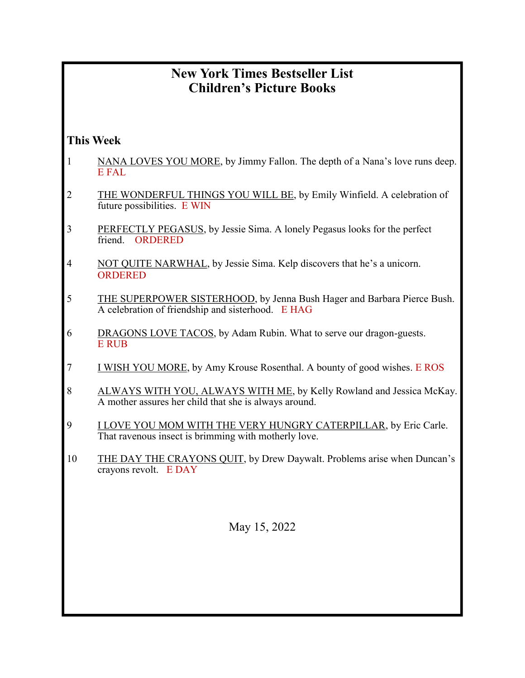# **New York Times Bestseller List Children's Picture Books**

### **This Week**

- 1 NANA LOVES YOU MORE, by Jimmy Fallon. The depth of a Nana's love runs deep. E FAL
- 2 THE WONDERFUL THINGS YOU WILL BE, by Emily Winfield. A celebration of future possibilities. E WIN
- 3 PERFECTLY PEGASUS, by Jessie Sima. A lonely Pegasus looks for the perfect friend. ORDERED
- 4 NOT QUITE NARWHAL, by Jessie Sima. Kelp discovers that he's a unicorn. ORDERED
- 5 THE SUPERPOWER SISTERHOOD, by Jenna Bush Hager and Barbara Pierce Bush. A celebration of friendship and sisterhood. E HAG
- 6 DRAGONS LOVE TACOS, by Adam Rubin. What to serve our dragon-guests. E RUB
- 7 I WISH YOU MORE, by Amy Krouse Rosenthal. A bounty of good wishes. E ROS
- 8 ALWAYS WITH YOU, ALWAYS WITH ME, by Kelly Rowland and Jessica McKay. A mother assures her child that she is always around.
- 9 I LOVE YOU MOM WITH THE VERY HUNGRY CATERPILLAR, by Eric Carle. That ravenous insect is brimming with motherly love.
- 10 THE DAY THE CRAYONS QUIT, by Drew Daywalt. Problems arise when Duncan's crayons revolt. E DAY

May 15, 2022